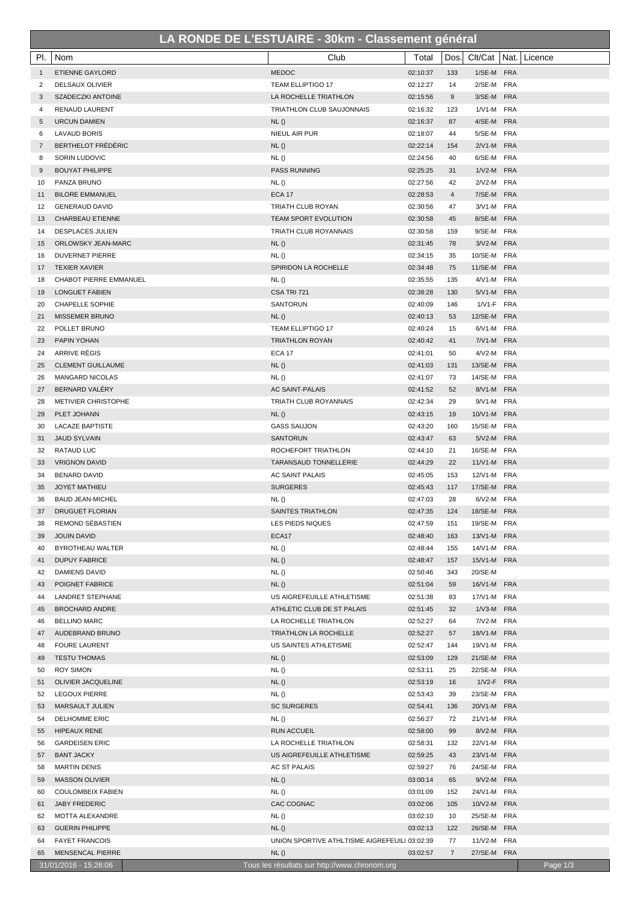## **LA RONDE DE L'ESTUAIRE - 30km - Classement général**

| PI.            | Nom                                            | Club                                          | Total                | Dos.           |                            | Clt/Cat   Nat.   Licence |
|----------------|------------------------------------------------|-----------------------------------------------|----------------------|----------------|----------------------------|--------------------------|
| $\mathbf{1}$   | <b>ETIENNE GAYLORD</b>                         | <b>MEDOC</b>                                  | 02:10:37             | 133            | 1/SE-M FRA                 |                          |
| 2              | DELSAUX OLIVIER                                | TEAM ELLIPTIGO 17                             | 02:12:27             | 14             | 2/SE-M FRA                 |                          |
| 3              | SZADECZKI ANTOINE                              | LA ROCHELLE TRIATHLON                         | 02:15:56             | 9              | 3/SE-M FRA                 |                          |
| 4              | <b>RENAUD LAURENT</b>                          | TRIATHLON CLUB SAUJONNAIS                     | 02:16:32             | 123            | 1/V1-M FRA                 |                          |
| 5              | <b>URCUN DAMIEN</b>                            | NL()                                          | 02:16:37             | 87             | 4/SE-M FRA                 |                          |
| 6              | <b>LAVAUD BORIS</b>                            | NIEUL AIR PUR                                 | 02:18:07             | 44             | 5/SE-M FRA                 |                          |
| $\overline{7}$ | BERTHELOT FRÉDÉRIC                             | NL()                                          | 02:22:14             | 154            | 2/V1-M FRA                 |                          |
| 8              | SORIN LUDOVIC                                  | NL()                                          | 02:24:56             | 40             | 6/SE-M FRA                 |                          |
| 9              | <b>BOUYAT PHILIPPE</b>                         | PASS RUNNING                                  | 02:25:25             | 31             | 1/V2-M FRA                 |                          |
| 10             | PANZA BRUNO                                    | NL()                                          | 02:27:56             | 42             | 2/V2-M FRA                 |                          |
| 11             | <b>BILORE EMMANUEL</b>                         | <b>ECA 17</b>                                 | 02:28:53             | $\overline{4}$ | 7/SE-M FRA                 |                          |
| 12             | <b>GENERAUD DAVID</b>                          | <b>TRIATH CLUB ROYAN</b>                      | 02:30:56             | 47             | 3/V1-M FRA                 |                          |
| 13             | <b>CHARBEAU ETIENNE</b>                        | <b>TEAM SPORT EVOLUTION</b>                   | 02:30:58             | 45             | 8/SE-M FRA                 |                          |
| 14             | <b>DESPLACES JULIEN</b>                        | TRIATH CLUB ROYANNAIS                         | 02:30:58             | 159            | 9/SE-M FRA                 |                          |
| 15             | ORLOWSKY JEAN-MARC                             | NL()                                          | 02:31:45             | 78             | 3/V2-M FRA                 |                          |
| 16             | <b>DUVERNET PIERRE</b>                         | NL()                                          | 02:34:15             | 35             | 10/SE-M FRA                |                          |
| 17             | <b>TEXIER XAVIER</b>                           | SPIRIDON LA ROCHELLE                          | 02:34:48             | 75             | 11/SE-M FRA                |                          |
| 18             | <b>CHABOT PIERRE EMMANUEL</b>                  | NL()                                          | 02:35:55             | 135            | 4/V1-M FRA                 |                          |
| 19             | <b>LONGUET FABIEN</b>                          | CSA TRI 721                                   | 02:38:28             | 130            | 5/V1-M FRA                 |                          |
| 20             | <b>CHAPELLE SOPHIE</b>                         | SANTORUN                                      | 02:40:09             | 146            | 1/V1-F FRA                 |                          |
| 21             | <b>MISSEMER BRUNO</b>                          | NL()                                          | 02:40:13             | 53             | 12/SE-M FRA                |                          |
| 22             | POLLET BRUNO                                   | <b>TEAM ELLIPTIGO 17</b>                      | 02:40:24             | 15             | 6/V1-M FRA                 |                          |
| 23             | PAPIN YOHAN                                    | <b>TRIATHLON ROYAN</b>                        | 02:40:42             | 41             | 7/V1-M FRA                 |                          |
| 24<br>25       | ARRIVE RÉGIS<br><b>CLEMENT GUILLAUME</b>       | <b>ECA 17</b>                                 | 02:41:01<br>02:41:03 | 50<br>131      | 4/V2-M FRA<br>13/SE-M FRA  |                          |
| 26             | <b>MANGARD NICOLAS</b>                         | NL()<br>NL()                                  | 02:41:07             | 73             | 14/SE-M FRA                |                          |
| 27             | BERNARD VALÉRY                                 | <b>AC SAINT-PALAIS</b>                        | 02:41:52             | 52             | 8/V1-M FRA                 |                          |
| 28             | <b>METIVIER CHRISTOPHE</b>                     | TRIATH CLUB ROYANNAIS                         | 02:42:34             | 29             | 9/V1-M FRA                 |                          |
| 29             | PLET JOHANN                                    | NL()                                          | 02:43:15             | 19             | 10/V1-M FRA                |                          |
| 30             | <b>LACAZE BAPTISTE</b>                         | <b>GASS SAUJON</b>                            | 02:43:20             | 160            | 15/SE-M FRA                |                          |
| 31             | <b>JAUD SYLVAIN</b>                            | SANTORUN                                      | 02:43:47             | 63             | 5/V2-M FRA                 |                          |
| 32             | RATAUD LUC                                     | ROCHEFORT TRIATHLON                           | 02:44:10             | 21             | 16/SE-M FRA                |                          |
| 33             | <b>VRIGNON DAVID</b>                           | <b>TARANSAUD TONNELLERIE</b>                  | 02:44:29             | 22             | 11/V1-M FRA                |                          |
| 34             | <b>BENARD DAVID</b>                            | AC SAINT PALAIS                               | 02:45:05             | 153            | 12/V1-M FRA                |                          |
| 35             | <b>JOYET MATHIEU</b>                           | <b>SURGERES</b>                               | 02:45:43             | 117            | 17/SE-M FRA                |                          |
| 36             | <b>BAUD JEAN-MICHEL</b>                        | NL()                                          | 02:47:03             | 28             | 6/V2-M FRA                 |                          |
| 37             | <b>DRUGUET FLORIAN</b>                         | SAINTES TRIATHLON                             | 02:47:35             | 124            | 18/SE-M FRA                |                          |
| 38             | REMOND SÉBASTIEN                               | LES PIEDS NIQUES                              | 02:47:59             | 151            | 19/SE-M FRA                |                          |
| 39             | <b>JOUIN DAVID</b>                             | ECA17                                         | 02:48:40             | 163            | 13/V1-M FRA                |                          |
| 40             | BYROTHEAU WALTER                               | NL()                                          | 02:48:44             | 155            | 14/V1-M FRA                |                          |
| 41             | <b>DUPUY FABRICE</b>                           | NL()                                          | 02:48:47             | 157            | 15/V1-M FRA                |                          |
| 42             | DAMIENS DAVID                                  | NL()                                          | 02:50:46             | 343            | 20/SE-M                    |                          |
| 43             | POIGNET FABRICE                                | NL()                                          | 02:51:04             | 59             | 16/V1-M FRA                |                          |
| 44             | <b>LANDRET STEPHANE</b>                        | US AIGREFEUILLE ATHLETISME                    | 02:51:38             | 83             | 17/V1-M FRA                |                          |
| 45             | <b>BROCHARD ANDRE</b>                          | ATHLETIC CLUB DE ST PALAIS                    | 02:51:45             | 32             | 1/V3-M FRA                 |                          |
| 46             | <b>BELLINO MARC</b>                            | LA ROCHELLE TRIATHLON                         | 02:52:27             | 64             | 7/V2-M FRA                 |                          |
| 47             | AUDEBRAND BRUNO                                | TRIATHLON LA ROCHELLE                         | 02:52:27             | 57             | 18/V1-M FRA                |                          |
| 48             | <b>FOURE LAURENT</b>                           | US SAINTES ATHLETISME                         | 02:52:47             | 144            | 19/V1-M FRA                |                          |
| 49             | <b>TESTU THOMAS</b>                            | NL()                                          | 02:53:09             | 129            | 21/SE-M FRA                |                          |
| 50             | <b>ROY SIMON</b>                               | NL()                                          | 02:53:11             | 25             | 22/SE-M FRA                |                          |
| 51             | <b>OLIVIER JACQUELINE</b>                      | NL()                                          | 02:53:19             | 16<br>39       | 1/V2-F FRA                 |                          |
| 52<br>53       | <b>LEGOUX PIERRE</b><br><b>MARSAULT JULIEN</b> | NL()<br><b>SC SURGERES</b>                    | 02:53:43<br>02:54:41 | 136            | 23/SE-M FRA<br>20/V1-M FRA |                          |
| 54             | <b>DELHOMME ERIC</b>                           | NL()                                          | 02:56:27             | 72             | 21/V1-M FRA                |                          |
| 55             | <b>HIPEAUX RENE</b>                            | <b>RUN ACCUEIL</b>                            | 02:58:00             | 99             | 8/V2-M FRA                 |                          |
| 56             | <b>GARDEISEN ERIC</b>                          | LA ROCHELLE TRIATHLON                         | 02:58:31             | 132            | 22/V1-M FRA                |                          |
| 57             | <b>BANT JACKY</b>                              | US AIGREFEUILLE ATHLETISME                    | 02:59:25             | 43             | 23/V1-M FRA                |                          |
| 58             | <b>MARTIN DENIS</b>                            | AC ST PALAIS                                  | 02:59:27             | 76             | 24/SE-M FRA                |                          |
| 59             | <b>MASSON OLIVIER</b>                          | NL()                                          | 03:00:14             | 65             | 9/V2-M FRA                 |                          |
| 60             | <b>COULOMBEIX FABIEN</b>                       | NL()                                          | 03:01:09             | 152            | 24/V1-M FRA                |                          |
| 61             | <b>JABY FREDERIC</b>                           | CAC COGNAC                                    | 03:02:06             | 105            | 10/V2-M FRA                |                          |
| 62             | MOTTA ALEXANDRE                                | NL()                                          | 03:02:10             | 10             | 25/SE-M FRA                |                          |
| 63             | <b>GUERIN PHILIPPE</b>                         | NL()                                          | 03:02:13             | 122            | 26/SE-M FRA                |                          |
| 64             | <b>FAYET FRANCOIS</b>                          | UNION SPORTIVE ATHLTISME AIGREFEUILI 03:02:39 |                      | 77             | 11/V2-M FRA                |                          |
| 65             | <b>MENSENCAL PIERRE</b>                        | NL()                                          | 03:02:57             | $\overline{7}$ | 27/SE-M FRA                |                          |
|                | 31/01/2016 - 15:26:06                          | Tous les résultats sur http://www.chronom.org |                      |                |                            | Page 1/3                 |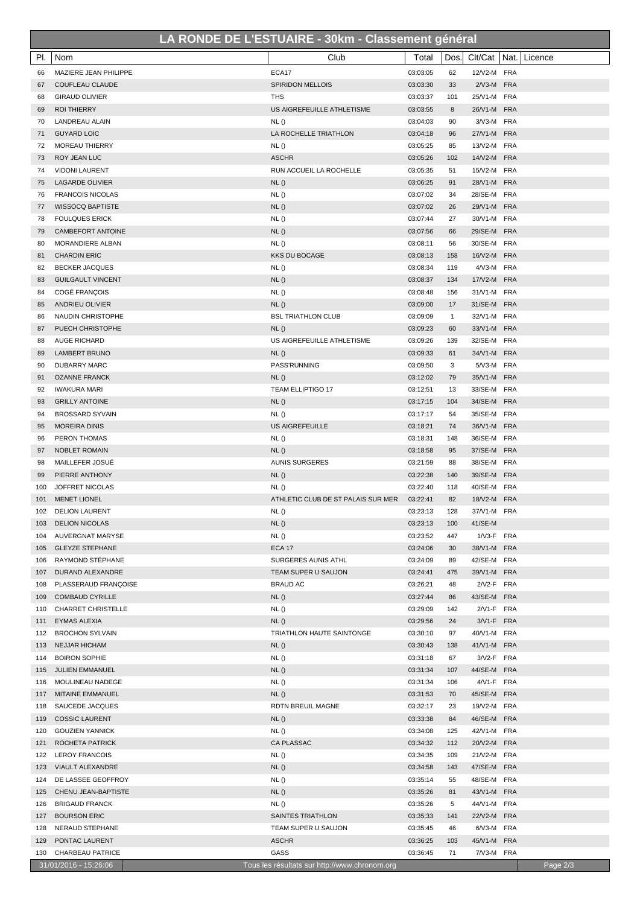## **LA RONDE DE L'ESTUAIRE - 30km - Classement général**

П

| ECA17<br>03:03:05<br>12/V2-M FRA<br>MAZIERE JEAN PHILIPPE<br>62<br>66<br><b>SPIRIDON MELLOIS</b><br>2/V3-M FRA<br><b>COUFLEAU CLAUDE</b><br>03:03:30<br>33<br>67<br><b>GIRAUD OLIVIER</b><br><b>THS</b><br>03:03:37<br>101<br>25/V1-M FRA<br>68<br>US AIGREFEUILLE ATHLETISME<br>26/V1-M FRA<br><b>ROI THIERRY</b><br>03:03:55<br>8<br>69<br>NL()<br>03:04:03<br>90<br>3/V3-M FRA<br>70<br>LANDREAU ALAIN<br>LA ROCHELLE TRIATHLON<br>27/V1-M FRA<br><b>GUYARD LOIC</b><br>03:04:18<br>96<br>71<br>MOREAU THIERRY<br>NL()<br>03:05:25<br>13/V2-M FRA<br>85<br>72<br><b>ASCHR</b><br>14/V2-M FRA<br><b>ROY JEAN LUC</b><br>03:05:26<br>102<br>73<br>RUN ACCUEIL LA ROCHELLE<br>03:05:35<br>15/V2-M FRA<br>74<br><b>VIDONI LAURENT</b><br>51<br>NL()<br>03:06:25<br>28/V1-M FRA<br><b>LAGARDE OLIVIER</b><br>91<br>75<br>NL()<br>28/SE-M FRA<br><b>FRANCOIS NICOLAS</b><br>03:07:02<br>34<br>76<br>NL()<br>03:07:02<br>29/V1-M FRA<br><b>WISSOCQ BAPTISTE</b><br>26<br>77<br>NL()<br>03:07:44<br>27<br>30/V1-M FRA<br><b>FOULQUES ERICK</b><br>78<br>NL()<br>03:07:56<br>29/SE-M FRA<br>CAMBEFORT ANTOINE<br>66<br>79<br>NL()<br>03:08:11<br>30/SE-M FRA<br>80<br><b>MORANDIERE ALBAN</b><br>56<br><b>KKS DU BOCAGE</b><br>03:08:13<br>16/V2-M FRA<br><b>CHARDIN ERIC</b><br>158<br>81<br>03:08:34<br>4/V3-M FRA<br><b>BECKER JACQUES</b><br>NL()<br>119<br>82<br>NL()<br>17/V2-M FRA<br><b>GUILGAULT VINCENT</b><br>03:08:37<br>134<br>83<br>COGÉ FRANÇOIS<br>NL()<br>03:08:48<br>156<br>31/V1-M FRA<br>84<br>NL()<br>31/SE-M FRA<br>ANDRIEU OLIVIER<br>03:09:00<br>85<br>17<br><b>BSL TRIATHLON CLUB</b><br>32/V1-M FRA<br>NAUDIN CHRISTOPHE<br>03:09:09<br>$\mathbf{1}$<br>86<br>PUECH CHRISTOPHE<br>NL()<br>03:09:23<br>60<br>33/V1-M FRA<br>87<br>US AIGREFEUILLE ATHLETISME<br>03:09:26<br>139<br>32/SE-M FRA<br><b>AUGE RICHARD</b><br>88<br>NL()<br>03:09:33<br>34/V1-M FRA<br><b>LAMBERT BRUNO</b><br>61<br>89<br><b>DUBARRY MARC</b><br>PASS'RUNNING<br>03:09:50<br>5/V3-M FRA<br>3<br>90<br>35/V1-M FRA<br><b>OZANNE FRANCK</b><br>NL()<br>03:12:02<br>79<br>91<br>TEAM ELLIPTIGO 17<br>33/SE-M FRA<br><b>IWAKURA MARI</b><br>03:12:51<br>92<br>13<br>NL()<br>34/SE-M FRA<br>93<br><b>GRILLY ANTOINE</b><br>03:17:15<br>104<br>03:17:17<br>35/SE-M FRA<br><b>BROSSARD SYVAIN</b><br>NL()<br>54<br>94<br><b>US AIGREFEUILLE</b><br>03:18:21<br>36/V1-M FRA<br><b>MOREIRA DINIS</b><br>74<br>95<br>NL()<br>03:18:31<br>36/SE-M FRA<br><b>PERON THOMAS</b><br>148<br>96<br>NL()<br>37/SE-M FRA<br>97<br>NOBLET ROMAIN<br>03:18:58<br>95<br>03:21:59<br>38/SE-M FRA<br>98<br>MAILLEFER JOSUÉ<br><b>AUNIS SURGERES</b><br>88<br>NL()<br>39/SE-M FRA<br>PIERRE ANTHONY<br>03:22:38<br>140<br>99<br>NL()<br>03:22:40<br>118<br>40/SE-M FRA<br>100<br>JOFFRET NICOLAS<br>18/V2-M FRA<br><b>MENET LIONEL</b><br>ATHLETIC CLUB DE ST PALAIS SUR MER<br>03:22:41<br>82<br>101<br>NL()<br>128<br>37/V1-M FRA<br>102<br><b>DELION LAURENT</b><br>03:23:13<br>NL()<br>03:23:13<br>100<br>41/SE-M<br>103<br><b>DELION NICOLAS</b><br>AUVERGNAT MARYSE<br><b>NL()</b><br>03:23:52<br>1/V3-F FRA<br>447<br>104<br><b>GLEYZE STEPHANE</b><br><b>ECA 17</b><br>03:24:06<br>30<br>38/V1-M FRA<br>105<br>RAYMOND STÉPHANE<br>SURGERES AUNIS ATHL<br>03:24:09<br>89<br>42/SE-M FRA<br>106<br>DURAND ALEXANDRE<br>TEAM SUPER U SAUJON<br>03:24:41<br>39/V1-M FRA<br>107<br>475<br>PLASSERAUD FRANÇOISE<br><b>BRAUD AC</b><br>03:26:21<br>2/V2-F FRA<br>48<br>108<br>03:27:44<br>43/SE-M FRA<br><b>COMBAUD CYRILLE</b><br>NL()<br>86<br>109<br>03:29:09<br>2/V1-F FRA<br><b>CHARRET CHRISTELLE</b><br>NL()<br>142<br>110<br>NL()<br>03:29:56<br>3/V1-F FRA<br>EYMAS ALEXIA<br>24<br>111<br>03:30:10<br><b>BROCHON SYLVAIN</b><br>TRIATHLON HAUTE SAINTONGE<br>97<br>40/V1-M FRA<br>112<br>NL()<br><b>NEJJAR HICHAM</b><br>03:30:43<br>138<br>41/V1-M FRA<br>113<br><b>BOIRON SOPHIE</b><br>NL()<br>03:31:18<br>67<br>3/V2-F FRA<br>114<br>NL()<br>JULIEN EMMANUEL<br>03:31:34<br>107<br>44/SE-M FRA<br>115<br>MOULINEAU NADEGE<br>NL()<br>03:31:34<br>106<br>4/V1-F FRA<br>116<br>NL()<br>03:31:53<br>45/SE-M FRA<br>MITAINE EMMANUEL<br>117<br>70<br>RDTN BREUIL MAGNE<br>03:32:17<br>19/V2-M FRA<br>SAUCEDE JACQUES<br>23<br>118<br><b>COSSIC LAURENT</b><br>NL()<br>03:33:38<br>84<br>46/SE-M FRA<br>119<br>NL()<br>03:34:08<br>42/V1-M FRA<br><b>GOUZIEN YANNICK</b><br>125<br>120<br>CA PLASSAC<br>ROCHETA PATRICK<br>03:34:32<br>112<br>20/V2-M FRA<br>121<br>NL()<br>03:34:35<br>109<br>21/V2-M FRA<br><b>LEROY FRANCOIS</b><br>122<br>NL()<br>47/SE-M FRA<br>VIAULT ALEXANDRE<br>03:34:58<br>143<br>123<br>NL()<br>03:35:14<br>48/SE-M FRA<br>DE LASSEE GEOFFROY<br>55<br>124<br>NL()<br>03:35:26<br>43/V1-M FRA<br>CHENU JEAN-BAPTISTE<br>81<br>125<br>03:35:26<br>44/V1-M FRA<br><b>BRIGAUD FRANCK</b><br>NL()<br>5<br>126<br>03:35:33<br>22/V2-M FRA<br><b>BOURSON ERIC</b><br>SAINTES TRIATHLON<br>141<br>127<br>03:35:45<br>6/V3-M FRA<br>NERAUD STEPHANE<br>TEAM SUPER U SAUJON<br>46<br>128<br><b>ASCHR</b><br>45/V1-M FRA<br>PONTAC LAURENT<br>03:36:25<br>103<br>129<br>GASS<br>71<br>7/V3-M FRA<br>CHARBEAU PATRICE<br>03:36:45<br>130<br>31/01/2016 - 15:26:06<br>Tous les résultats sur http://www.chronom.org | PI. | Nom | Club | Total | Dos. | Clt/Cat   Nat.   Licence |
|---------------------------------------------------------------------------------------------------------------------------------------------------------------------------------------------------------------------------------------------------------------------------------------------------------------------------------------------------------------------------------------------------------------------------------------------------------------------------------------------------------------------------------------------------------------------------------------------------------------------------------------------------------------------------------------------------------------------------------------------------------------------------------------------------------------------------------------------------------------------------------------------------------------------------------------------------------------------------------------------------------------------------------------------------------------------------------------------------------------------------------------------------------------------------------------------------------------------------------------------------------------------------------------------------------------------------------------------------------------------------------------------------------------------------------------------------------------------------------------------------------------------------------------------------------------------------------------------------------------------------------------------------------------------------------------------------------------------------------------------------------------------------------------------------------------------------------------------------------------------------------------------------------------------------------------------------------------------------------------------------------------------------------------------------------------------------------------------------------------------------------------------------------------------------------------------------------------------------------------------------------------------------------------------------------------------------------------------------------------------------------------------------------------------------------------------------------------------------------------------------------------------------------------------------------------------------------------------------------------------------------------------------------------------------------------------------------------------------------------------------------------------------------------------------------------------------------------------------------------------------------------------------------------------------------------------------------------------------------------------------------------------------------------------------------------------------------------------------------------------------------------------------------------------------------------------------------------------------------------------------------------------------------------------------------------------------------------------------------------------------------------------------------------------------------------------------------------------------------------------------------------------------------------------------------------------------------------------------------------------------------------------------------------------------------------------------------------------------------------------------------------------------------------------------------------------------------------------------------------------------------------------------------------------------------------------------------------------------------------------------------------------------------------------------------------------------------------------------------------------------------------------------------------------------------------------------------------------------------------------------------------------------------------------------------------------------------------------------------------------------------------------------------------------------------------------------------------------------------------------------------------------------------------------------------------------------------------------------------------------------------------------------------------------------------------------------------------------------------------------------------------------------------------------------------------------------------------------------------------------------------------------------------------------------------------------------------------------------------------------------------------------------------------------------------------------------------------------------------------------------------------------------------------------------------------------------------------------|-----|-----|------|-------|------|--------------------------|
|                                                                                                                                                                                                                                                                                                                                                                                                                                                                                                                                                                                                                                                                                                                                                                                                                                                                                                                                                                                                                                                                                                                                                                                                                                                                                                                                                                                                                                                                                                                                                                                                                                                                                                                                                                                                                                                                                                                                                                                                                                                                                                                                                                                                                                                                                                                                                                                                                                                                                                                                                                                                                                                                                                                                                                                                                                                                                                                                                                                                                                                                                                                                                                                                                                                                                                                                                                                                                                                                                                                                                                                                                                                                                                                                                                                                                                                                                                                                                                                                                                                                                                                                                                                                                                                                                                                                                                                                                                                                                                                                                                                                                                                                                                                                                                                                                                                                                                                                                                                                                                                                                                                                                                                                                     |     |     |      |       |      |                          |
|                                                                                                                                                                                                                                                                                                                                                                                                                                                                                                                                                                                                                                                                                                                                                                                                                                                                                                                                                                                                                                                                                                                                                                                                                                                                                                                                                                                                                                                                                                                                                                                                                                                                                                                                                                                                                                                                                                                                                                                                                                                                                                                                                                                                                                                                                                                                                                                                                                                                                                                                                                                                                                                                                                                                                                                                                                                                                                                                                                                                                                                                                                                                                                                                                                                                                                                                                                                                                                                                                                                                                                                                                                                                                                                                                                                                                                                                                                                                                                                                                                                                                                                                                                                                                                                                                                                                                                                                                                                                                                                                                                                                                                                                                                                                                                                                                                                                                                                                                                                                                                                                                                                                                                                                                     |     |     |      |       |      |                          |
|                                                                                                                                                                                                                                                                                                                                                                                                                                                                                                                                                                                                                                                                                                                                                                                                                                                                                                                                                                                                                                                                                                                                                                                                                                                                                                                                                                                                                                                                                                                                                                                                                                                                                                                                                                                                                                                                                                                                                                                                                                                                                                                                                                                                                                                                                                                                                                                                                                                                                                                                                                                                                                                                                                                                                                                                                                                                                                                                                                                                                                                                                                                                                                                                                                                                                                                                                                                                                                                                                                                                                                                                                                                                                                                                                                                                                                                                                                                                                                                                                                                                                                                                                                                                                                                                                                                                                                                                                                                                                                                                                                                                                                                                                                                                                                                                                                                                                                                                                                                                                                                                                                                                                                                                                     |     |     |      |       |      |                          |
|                                                                                                                                                                                                                                                                                                                                                                                                                                                                                                                                                                                                                                                                                                                                                                                                                                                                                                                                                                                                                                                                                                                                                                                                                                                                                                                                                                                                                                                                                                                                                                                                                                                                                                                                                                                                                                                                                                                                                                                                                                                                                                                                                                                                                                                                                                                                                                                                                                                                                                                                                                                                                                                                                                                                                                                                                                                                                                                                                                                                                                                                                                                                                                                                                                                                                                                                                                                                                                                                                                                                                                                                                                                                                                                                                                                                                                                                                                                                                                                                                                                                                                                                                                                                                                                                                                                                                                                                                                                                                                                                                                                                                                                                                                                                                                                                                                                                                                                                                                                                                                                                                                                                                                                                                     |     |     |      |       |      |                          |
|                                                                                                                                                                                                                                                                                                                                                                                                                                                                                                                                                                                                                                                                                                                                                                                                                                                                                                                                                                                                                                                                                                                                                                                                                                                                                                                                                                                                                                                                                                                                                                                                                                                                                                                                                                                                                                                                                                                                                                                                                                                                                                                                                                                                                                                                                                                                                                                                                                                                                                                                                                                                                                                                                                                                                                                                                                                                                                                                                                                                                                                                                                                                                                                                                                                                                                                                                                                                                                                                                                                                                                                                                                                                                                                                                                                                                                                                                                                                                                                                                                                                                                                                                                                                                                                                                                                                                                                                                                                                                                                                                                                                                                                                                                                                                                                                                                                                                                                                                                                                                                                                                                                                                                                                                     |     |     |      |       |      |                          |
|                                                                                                                                                                                                                                                                                                                                                                                                                                                                                                                                                                                                                                                                                                                                                                                                                                                                                                                                                                                                                                                                                                                                                                                                                                                                                                                                                                                                                                                                                                                                                                                                                                                                                                                                                                                                                                                                                                                                                                                                                                                                                                                                                                                                                                                                                                                                                                                                                                                                                                                                                                                                                                                                                                                                                                                                                                                                                                                                                                                                                                                                                                                                                                                                                                                                                                                                                                                                                                                                                                                                                                                                                                                                                                                                                                                                                                                                                                                                                                                                                                                                                                                                                                                                                                                                                                                                                                                                                                                                                                                                                                                                                                                                                                                                                                                                                                                                                                                                                                                                                                                                                                                                                                                                                     |     |     |      |       |      |                          |
|                                                                                                                                                                                                                                                                                                                                                                                                                                                                                                                                                                                                                                                                                                                                                                                                                                                                                                                                                                                                                                                                                                                                                                                                                                                                                                                                                                                                                                                                                                                                                                                                                                                                                                                                                                                                                                                                                                                                                                                                                                                                                                                                                                                                                                                                                                                                                                                                                                                                                                                                                                                                                                                                                                                                                                                                                                                                                                                                                                                                                                                                                                                                                                                                                                                                                                                                                                                                                                                                                                                                                                                                                                                                                                                                                                                                                                                                                                                                                                                                                                                                                                                                                                                                                                                                                                                                                                                                                                                                                                                                                                                                                                                                                                                                                                                                                                                                                                                                                                                                                                                                                                                                                                                                                     |     |     |      |       |      |                          |
|                                                                                                                                                                                                                                                                                                                                                                                                                                                                                                                                                                                                                                                                                                                                                                                                                                                                                                                                                                                                                                                                                                                                                                                                                                                                                                                                                                                                                                                                                                                                                                                                                                                                                                                                                                                                                                                                                                                                                                                                                                                                                                                                                                                                                                                                                                                                                                                                                                                                                                                                                                                                                                                                                                                                                                                                                                                                                                                                                                                                                                                                                                                                                                                                                                                                                                                                                                                                                                                                                                                                                                                                                                                                                                                                                                                                                                                                                                                                                                                                                                                                                                                                                                                                                                                                                                                                                                                                                                                                                                                                                                                                                                                                                                                                                                                                                                                                                                                                                                                                                                                                                                                                                                                                                     |     |     |      |       |      |                          |
|                                                                                                                                                                                                                                                                                                                                                                                                                                                                                                                                                                                                                                                                                                                                                                                                                                                                                                                                                                                                                                                                                                                                                                                                                                                                                                                                                                                                                                                                                                                                                                                                                                                                                                                                                                                                                                                                                                                                                                                                                                                                                                                                                                                                                                                                                                                                                                                                                                                                                                                                                                                                                                                                                                                                                                                                                                                                                                                                                                                                                                                                                                                                                                                                                                                                                                                                                                                                                                                                                                                                                                                                                                                                                                                                                                                                                                                                                                                                                                                                                                                                                                                                                                                                                                                                                                                                                                                                                                                                                                                                                                                                                                                                                                                                                                                                                                                                                                                                                                                                                                                                                                                                                                                                                     |     |     |      |       |      |                          |
|                                                                                                                                                                                                                                                                                                                                                                                                                                                                                                                                                                                                                                                                                                                                                                                                                                                                                                                                                                                                                                                                                                                                                                                                                                                                                                                                                                                                                                                                                                                                                                                                                                                                                                                                                                                                                                                                                                                                                                                                                                                                                                                                                                                                                                                                                                                                                                                                                                                                                                                                                                                                                                                                                                                                                                                                                                                                                                                                                                                                                                                                                                                                                                                                                                                                                                                                                                                                                                                                                                                                                                                                                                                                                                                                                                                                                                                                                                                                                                                                                                                                                                                                                                                                                                                                                                                                                                                                                                                                                                                                                                                                                                                                                                                                                                                                                                                                                                                                                                                                                                                                                                                                                                                                                     |     |     |      |       |      |                          |
|                                                                                                                                                                                                                                                                                                                                                                                                                                                                                                                                                                                                                                                                                                                                                                                                                                                                                                                                                                                                                                                                                                                                                                                                                                                                                                                                                                                                                                                                                                                                                                                                                                                                                                                                                                                                                                                                                                                                                                                                                                                                                                                                                                                                                                                                                                                                                                                                                                                                                                                                                                                                                                                                                                                                                                                                                                                                                                                                                                                                                                                                                                                                                                                                                                                                                                                                                                                                                                                                                                                                                                                                                                                                                                                                                                                                                                                                                                                                                                                                                                                                                                                                                                                                                                                                                                                                                                                                                                                                                                                                                                                                                                                                                                                                                                                                                                                                                                                                                                                                                                                                                                                                                                                                                     |     |     |      |       |      |                          |
|                                                                                                                                                                                                                                                                                                                                                                                                                                                                                                                                                                                                                                                                                                                                                                                                                                                                                                                                                                                                                                                                                                                                                                                                                                                                                                                                                                                                                                                                                                                                                                                                                                                                                                                                                                                                                                                                                                                                                                                                                                                                                                                                                                                                                                                                                                                                                                                                                                                                                                                                                                                                                                                                                                                                                                                                                                                                                                                                                                                                                                                                                                                                                                                                                                                                                                                                                                                                                                                                                                                                                                                                                                                                                                                                                                                                                                                                                                                                                                                                                                                                                                                                                                                                                                                                                                                                                                                                                                                                                                                                                                                                                                                                                                                                                                                                                                                                                                                                                                                                                                                                                                                                                                                                                     |     |     |      |       |      |                          |
|                                                                                                                                                                                                                                                                                                                                                                                                                                                                                                                                                                                                                                                                                                                                                                                                                                                                                                                                                                                                                                                                                                                                                                                                                                                                                                                                                                                                                                                                                                                                                                                                                                                                                                                                                                                                                                                                                                                                                                                                                                                                                                                                                                                                                                                                                                                                                                                                                                                                                                                                                                                                                                                                                                                                                                                                                                                                                                                                                                                                                                                                                                                                                                                                                                                                                                                                                                                                                                                                                                                                                                                                                                                                                                                                                                                                                                                                                                                                                                                                                                                                                                                                                                                                                                                                                                                                                                                                                                                                                                                                                                                                                                                                                                                                                                                                                                                                                                                                                                                                                                                                                                                                                                                                                     |     |     |      |       |      |                          |
|                                                                                                                                                                                                                                                                                                                                                                                                                                                                                                                                                                                                                                                                                                                                                                                                                                                                                                                                                                                                                                                                                                                                                                                                                                                                                                                                                                                                                                                                                                                                                                                                                                                                                                                                                                                                                                                                                                                                                                                                                                                                                                                                                                                                                                                                                                                                                                                                                                                                                                                                                                                                                                                                                                                                                                                                                                                                                                                                                                                                                                                                                                                                                                                                                                                                                                                                                                                                                                                                                                                                                                                                                                                                                                                                                                                                                                                                                                                                                                                                                                                                                                                                                                                                                                                                                                                                                                                                                                                                                                                                                                                                                                                                                                                                                                                                                                                                                                                                                                                                                                                                                                                                                                                                                     |     |     |      |       |      |                          |
|                                                                                                                                                                                                                                                                                                                                                                                                                                                                                                                                                                                                                                                                                                                                                                                                                                                                                                                                                                                                                                                                                                                                                                                                                                                                                                                                                                                                                                                                                                                                                                                                                                                                                                                                                                                                                                                                                                                                                                                                                                                                                                                                                                                                                                                                                                                                                                                                                                                                                                                                                                                                                                                                                                                                                                                                                                                                                                                                                                                                                                                                                                                                                                                                                                                                                                                                                                                                                                                                                                                                                                                                                                                                                                                                                                                                                                                                                                                                                                                                                                                                                                                                                                                                                                                                                                                                                                                                                                                                                                                                                                                                                                                                                                                                                                                                                                                                                                                                                                                                                                                                                                                                                                                                                     |     |     |      |       |      |                          |
|                                                                                                                                                                                                                                                                                                                                                                                                                                                                                                                                                                                                                                                                                                                                                                                                                                                                                                                                                                                                                                                                                                                                                                                                                                                                                                                                                                                                                                                                                                                                                                                                                                                                                                                                                                                                                                                                                                                                                                                                                                                                                                                                                                                                                                                                                                                                                                                                                                                                                                                                                                                                                                                                                                                                                                                                                                                                                                                                                                                                                                                                                                                                                                                                                                                                                                                                                                                                                                                                                                                                                                                                                                                                                                                                                                                                                                                                                                                                                                                                                                                                                                                                                                                                                                                                                                                                                                                                                                                                                                                                                                                                                                                                                                                                                                                                                                                                                                                                                                                                                                                                                                                                                                                                                     |     |     |      |       |      |                          |
|                                                                                                                                                                                                                                                                                                                                                                                                                                                                                                                                                                                                                                                                                                                                                                                                                                                                                                                                                                                                                                                                                                                                                                                                                                                                                                                                                                                                                                                                                                                                                                                                                                                                                                                                                                                                                                                                                                                                                                                                                                                                                                                                                                                                                                                                                                                                                                                                                                                                                                                                                                                                                                                                                                                                                                                                                                                                                                                                                                                                                                                                                                                                                                                                                                                                                                                                                                                                                                                                                                                                                                                                                                                                                                                                                                                                                                                                                                                                                                                                                                                                                                                                                                                                                                                                                                                                                                                                                                                                                                                                                                                                                                                                                                                                                                                                                                                                                                                                                                                                                                                                                                                                                                                                                     |     |     |      |       |      |                          |
|                                                                                                                                                                                                                                                                                                                                                                                                                                                                                                                                                                                                                                                                                                                                                                                                                                                                                                                                                                                                                                                                                                                                                                                                                                                                                                                                                                                                                                                                                                                                                                                                                                                                                                                                                                                                                                                                                                                                                                                                                                                                                                                                                                                                                                                                                                                                                                                                                                                                                                                                                                                                                                                                                                                                                                                                                                                                                                                                                                                                                                                                                                                                                                                                                                                                                                                                                                                                                                                                                                                                                                                                                                                                                                                                                                                                                                                                                                                                                                                                                                                                                                                                                                                                                                                                                                                                                                                                                                                                                                                                                                                                                                                                                                                                                                                                                                                                                                                                                                                                                                                                                                                                                                                                                     |     |     |      |       |      |                          |
|                                                                                                                                                                                                                                                                                                                                                                                                                                                                                                                                                                                                                                                                                                                                                                                                                                                                                                                                                                                                                                                                                                                                                                                                                                                                                                                                                                                                                                                                                                                                                                                                                                                                                                                                                                                                                                                                                                                                                                                                                                                                                                                                                                                                                                                                                                                                                                                                                                                                                                                                                                                                                                                                                                                                                                                                                                                                                                                                                                                                                                                                                                                                                                                                                                                                                                                                                                                                                                                                                                                                                                                                                                                                                                                                                                                                                                                                                                                                                                                                                                                                                                                                                                                                                                                                                                                                                                                                                                                                                                                                                                                                                                                                                                                                                                                                                                                                                                                                                                                                                                                                                                                                                                                                                     |     |     |      |       |      |                          |
|                                                                                                                                                                                                                                                                                                                                                                                                                                                                                                                                                                                                                                                                                                                                                                                                                                                                                                                                                                                                                                                                                                                                                                                                                                                                                                                                                                                                                                                                                                                                                                                                                                                                                                                                                                                                                                                                                                                                                                                                                                                                                                                                                                                                                                                                                                                                                                                                                                                                                                                                                                                                                                                                                                                                                                                                                                                                                                                                                                                                                                                                                                                                                                                                                                                                                                                                                                                                                                                                                                                                                                                                                                                                                                                                                                                                                                                                                                                                                                                                                                                                                                                                                                                                                                                                                                                                                                                                                                                                                                                                                                                                                                                                                                                                                                                                                                                                                                                                                                                                                                                                                                                                                                                                                     |     |     |      |       |      |                          |
|                                                                                                                                                                                                                                                                                                                                                                                                                                                                                                                                                                                                                                                                                                                                                                                                                                                                                                                                                                                                                                                                                                                                                                                                                                                                                                                                                                                                                                                                                                                                                                                                                                                                                                                                                                                                                                                                                                                                                                                                                                                                                                                                                                                                                                                                                                                                                                                                                                                                                                                                                                                                                                                                                                                                                                                                                                                                                                                                                                                                                                                                                                                                                                                                                                                                                                                                                                                                                                                                                                                                                                                                                                                                                                                                                                                                                                                                                                                                                                                                                                                                                                                                                                                                                                                                                                                                                                                                                                                                                                                                                                                                                                                                                                                                                                                                                                                                                                                                                                                                                                                                                                                                                                                                                     |     |     |      |       |      |                          |
|                                                                                                                                                                                                                                                                                                                                                                                                                                                                                                                                                                                                                                                                                                                                                                                                                                                                                                                                                                                                                                                                                                                                                                                                                                                                                                                                                                                                                                                                                                                                                                                                                                                                                                                                                                                                                                                                                                                                                                                                                                                                                                                                                                                                                                                                                                                                                                                                                                                                                                                                                                                                                                                                                                                                                                                                                                                                                                                                                                                                                                                                                                                                                                                                                                                                                                                                                                                                                                                                                                                                                                                                                                                                                                                                                                                                                                                                                                                                                                                                                                                                                                                                                                                                                                                                                                                                                                                                                                                                                                                                                                                                                                                                                                                                                                                                                                                                                                                                                                                                                                                                                                                                                                                                                     |     |     |      |       |      |                          |
|                                                                                                                                                                                                                                                                                                                                                                                                                                                                                                                                                                                                                                                                                                                                                                                                                                                                                                                                                                                                                                                                                                                                                                                                                                                                                                                                                                                                                                                                                                                                                                                                                                                                                                                                                                                                                                                                                                                                                                                                                                                                                                                                                                                                                                                                                                                                                                                                                                                                                                                                                                                                                                                                                                                                                                                                                                                                                                                                                                                                                                                                                                                                                                                                                                                                                                                                                                                                                                                                                                                                                                                                                                                                                                                                                                                                                                                                                                                                                                                                                                                                                                                                                                                                                                                                                                                                                                                                                                                                                                                                                                                                                                                                                                                                                                                                                                                                                                                                                                                                                                                                                                                                                                                                                     |     |     |      |       |      |                          |
|                                                                                                                                                                                                                                                                                                                                                                                                                                                                                                                                                                                                                                                                                                                                                                                                                                                                                                                                                                                                                                                                                                                                                                                                                                                                                                                                                                                                                                                                                                                                                                                                                                                                                                                                                                                                                                                                                                                                                                                                                                                                                                                                                                                                                                                                                                                                                                                                                                                                                                                                                                                                                                                                                                                                                                                                                                                                                                                                                                                                                                                                                                                                                                                                                                                                                                                                                                                                                                                                                                                                                                                                                                                                                                                                                                                                                                                                                                                                                                                                                                                                                                                                                                                                                                                                                                                                                                                                                                                                                                                                                                                                                                                                                                                                                                                                                                                                                                                                                                                                                                                                                                                                                                                                                     |     |     |      |       |      |                          |
|                                                                                                                                                                                                                                                                                                                                                                                                                                                                                                                                                                                                                                                                                                                                                                                                                                                                                                                                                                                                                                                                                                                                                                                                                                                                                                                                                                                                                                                                                                                                                                                                                                                                                                                                                                                                                                                                                                                                                                                                                                                                                                                                                                                                                                                                                                                                                                                                                                                                                                                                                                                                                                                                                                                                                                                                                                                                                                                                                                                                                                                                                                                                                                                                                                                                                                                                                                                                                                                                                                                                                                                                                                                                                                                                                                                                                                                                                                                                                                                                                                                                                                                                                                                                                                                                                                                                                                                                                                                                                                                                                                                                                                                                                                                                                                                                                                                                                                                                                                                                                                                                                                                                                                                                                     |     |     |      |       |      |                          |
|                                                                                                                                                                                                                                                                                                                                                                                                                                                                                                                                                                                                                                                                                                                                                                                                                                                                                                                                                                                                                                                                                                                                                                                                                                                                                                                                                                                                                                                                                                                                                                                                                                                                                                                                                                                                                                                                                                                                                                                                                                                                                                                                                                                                                                                                                                                                                                                                                                                                                                                                                                                                                                                                                                                                                                                                                                                                                                                                                                                                                                                                                                                                                                                                                                                                                                                                                                                                                                                                                                                                                                                                                                                                                                                                                                                                                                                                                                                                                                                                                                                                                                                                                                                                                                                                                                                                                                                                                                                                                                                                                                                                                                                                                                                                                                                                                                                                                                                                                                                                                                                                                                                                                                                                                     |     |     |      |       |      |                          |
|                                                                                                                                                                                                                                                                                                                                                                                                                                                                                                                                                                                                                                                                                                                                                                                                                                                                                                                                                                                                                                                                                                                                                                                                                                                                                                                                                                                                                                                                                                                                                                                                                                                                                                                                                                                                                                                                                                                                                                                                                                                                                                                                                                                                                                                                                                                                                                                                                                                                                                                                                                                                                                                                                                                                                                                                                                                                                                                                                                                                                                                                                                                                                                                                                                                                                                                                                                                                                                                                                                                                                                                                                                                                                                                                                                                                                                                                                                                                                                                                                                                                                                                                                                                                                                                                                                                                                                                                                                                                                                                                                                                                                                                                                                                                                                                                                                                                                                                                                                                                                                                                                                                                                                                                                     |     |     |      |       |      |                          |
|                                                                                                                                                                                                                                                                                                                                                                                                                                                                                                                                                                                                                                                                                                                                                                                                                                                                                                                                                                                                                                                                                                                                                                                                                                                                                                                                                                                                                                                                                                                                                                                                                                                                                                                                                                                                                                                                                                                                                                                                                                                                                                                                                                                                                                                                                                                                                                                                                                                                                                                                                                                                                                                                                                                                                                                                                                                                                                                                                                                                                                                                                                                                                                                                                                                                                                                                                                                                                                                                                                                                                                                                                                                                                                                                                                                                                                                                                                                                                                                                                                                                                                                                                                                                                                                                                                                                                                                                                                                                                                                                                                                                                                                                                                                                                                                                                                                                                                                                                                                                                                                                                                                                                                                                                     |     |     |      |       |      |                          |
|                                                                                                                                                                                                                                                                                                                                                                                                                                                                                                                                                                                                                                                                                                                                                                                                                                                                                                                                                                                                                                                                                                                                                                                                                                                                                                                                                                                                                                                                                                                                                                                                                                                                                                                                                                                                                                                                                                                                                                                                                                                                                                                                                                                                                                                                                                                                                                                                                                                                                                                                                                                                                                                                                                                                                                                                                                                                                                                                                                                                                                                                                                                                                                                                                                                                                                                                                                                                                                                                                                                                                                                                                                                                                                                                                                                                                                                                                                                                                                                                                                                                                                                                                                                                                                                                                                                                                                                                                                                                                                                                                                                                                                                                                                                                                                                                                                                                                                                                                                                                                                                                                                                                                                                                                     |     |     |      |       |      |                          |
|                                                                                                                                                                                                                                                                                                                                                                                                                                                                                                                                                                                                                                                                                                                                                                                                                                                                                                                                                                                                                                                                                                                                                                                                                                                                                                                                                                                                                                                                                                                                                                                                                                                                                                                                                                                                                                                                                                                                                                                                                                                                                                                                                                                                                                                                                                                                                                                                                                                                                                                                                                                                                                                                                                                                                                                                                                                                                                                                                                                                                                                                                                                                                                                                                                                                                                                                                                                                                                                                                                                                                                                                                                                                                                                                                                                                                                                                                                                                                                                                                                                                                                                                                                                                                                                                                                                                                                                                                                                                                                                                                                                                                                                                                                                                                                                                                                                                                                                                                                                                                                                                                                                                                                                                                     |     |     |      |       |      |                          |
|                                                                                                                                                                                                                                                                                                                                                                                                                                                                                                                                                                                                                                                                                                                                                                                                                                                                                                                                                                                                                                                                                                                                                                                                                                                                                                                                                                                                                                                                                                                                                                                                                                                                                                                                                                                                                                                                                                                                                                                                                                                                                                                                                                                                                                                                                                                                                                                                                                                                                                                                                                                                                                                                                                                                                                                                                                                                                                                                                                                                                                                                                                                                                                                                                                                                                                                                                                                                                                                                                                                                                                                                                                                                                                                                                                                                                                                                                                                                                                                                                                                                                                                                                                                                                                                                                                                                                                                                                                                                                                                                                                                                                                                                                                                                                                                                                                                                                                                                                                                                                                                                                                                                                                                                                     |     |     |      |       |      |                          |
|                                                                                                                                                                                                                                                                                                                                                                                                                                                                                                                                                                                                                                                                                                                                                                                                                                                                                                                                                                                                                                                                                                                                                                                                                                                                                                                                                                                                                                                                                                                                                                                                                                                                                                                                                                                                                                                                                                                                                                                                                                                                                                                                                                                                                                                                                                                                                                                                                                                                                                                                                                                                                                                                                                                                                                                                                                                                                                                                                                                                                                                                                                                                                                                                                                                                                                                                                                                                                                                                                                                                                                                                                                                                                                                                                                                                                                                                                                                                                                                                                                                                                                                                                                                                                                                                                                                                                                                                                                                                                                                                                                                                                                                                                                                                                                                                                                                                                                                                                                                                                                                                                                                                                                                                                     |     |     |      |       |      |                          |
|                                                                                                                                                                                                                                                                                                                                                                                                                                                                                                                                                                                                                                                                                                                                                                                                                                                                                                                                                                                                                                                                                                                                                                                                                                                                                                                                                                                                                                                                                                                                                                                                                                                                                                                                                                                                                                                                                                                                                                                                                                                                                                                                                                                                                                                                                                                                                                                                                                                                                                                                                                                                                                                                                                                                                                                                                                                                                                                                                                                                                                                                                                                                                                                                                                                                                                                                                                                                                                                                                                                                                                                                                                                                                                                                                                                                                                                                                                                                                                                                                                                                                                                                                                                                                                                                                                                                                                                                                                                                                                                                                                                                                                                                                                                                                                                                                                                                                                                                                                                                                                                                                                                                                                                                                     |     |     |      |       |      |                          |
|                                                                                                                                                                                                                                                                                                                                                                                                                                                                                                                                                                                                                                                                                                                                                                                                                                                                                                                                                                                                                                                                                                                                                                                                                                                                                                                                                                                                                                                                                                                                                                                                                                                                                                                                                                                                                                                                                                                                                                                                                                                                                                                                                                                                                                                                                                                                                                                                                                                                                                                                                                                                                                                                                                                                                                                                                                                                                                                                                                                                                                                                                                                                                                                                                                                                                                                                                                                                                                                                                                                                                                                                                                                                                                                                                                                                                                                                                                                                                                                                                                                                                                                                                                                                                                                                                                                                                                                                                                                                                                                                                                                                                                                                                                                                                                                                                                                                                                                                                                                                                                                                                                                                                                                                                     |     |     |      |       |      |                          |
|                                                                                                                                                                                                                                                                                                                                                                                                                                                                                                                                                                                                                                                                                                                                                                                                                                                                                                                                                                                                                                                                                                                                                                                                                                                                                                                                                                                                                                                                                                                                                                                                                                                                                                                                                                                                                                                                                                                                                                                                                                                                                                                                                                                                                                                                                                                                                                                                                                                                                                                                                                                                                                                                                                                                                                                                                                                                                                                                                                                                                                                                                                                                                                                                                                                                                                                                                                                                                                                                                                                                                                                                                                                                                                                                                                                                                                                                                                                                                                                                                                                                                                                                                                                                                                                                                                                                                                                                                                                                                                                                                                                                                                                                                                                                                                                                                                                                                                                                                                                                                                                                                                                                                                                                                     |     |     |      |       |      |                          |
|                                                                                                                                                                                                                                                                                                                                                                                                                                                                                                                                                                                                                                                                                                                                                                                                                                                                                                                                                                                                                                                                                                                                                                                                                                                                                                                                                                                                                                                                                                                                                                                                                                                                                                                                                                                                                                                                                                                                                                                                                                                                                                                                                                                                                                                                                                                                                                                                                                                                                                                                                                                                                                                                                                                                                                                                                                                                                                                                                                                                                                                                                                                                                                                                                                                                                                                                                                                                                                                                                                                                                                                                                                                                                                                                                                                                                                                                                                                                                                                                                                                                                                                                                                                                                                                                                                                                                                                                                                                                                                                                                                                                                                                                                                                                                                                                                                                                                                                                                                                                                                                                                                                                                                                                                     |     |     |      |       |      |                          |
|                                                                                                                                                                                                                                                                                                                                                                                                                                                                                                                                                                                                                                                                                                                                                                                                                                                                                                                                                                                                                                                                                                                                                                                                                                                                                                                                                                                                                                                                                                                                                                                                                                                                                                                                                                                                                                                                                                                                                                                                                                                                                                                                                                                                                                                                                                                                                                                                                                                                                                                                                                                                                                                                                                                                                                                                                                                                                                                                                                                                                                                                                                                                                                                                                                                                                                                                                                                                                                                                                                                                                                                                                                                                                                                                                                                                                                                                                                                                                                                                                                                                                                                                                                                                                                                                                                                                                                                                                                                                                                                                                                                                                                                                                                                                                                                                                                                                                                                                                                                                                                                                                                                                                                                                                     |     |     |      |       |      |                          |
|                                                                                                                                                                                                                                                                                                                                                                                                                                                                                                                                                                                                                                                                                                                                                                                                                                                                                                                                                                                                                                                                                                                                                                                                                                                                                                                                                                                                                                                                                                                                                                                                                                                                                                                                                                                                                                                                                                                                                                                                                                                                                                                                                                                                                                                                                                                                                                                                                                                                                                                                                                                                                                                                                                                                                                                                                                                                                                                                                                                                                                                                                                                                                                                                                                                                                                                                                                                                                                                                                                                                                                                                                                                                                                                                                                                                                                                                                                                                                                                                                                                                                                                                                                                                                                                                                                                                                                                                                                                                                                                                                                                                                                                                                                                                                                                                                                                                                                                                                                                                                                                                                                                                                                                                                     |     |     |      |       |      |                          |
|                                                                                                                                                                                                                                                                                                                                                                                                                                                                                                                                                                                                                                                                                                                                                                                                                                                                                                                                                                                                                                                                                                                                                                                                                                                                                                                                                                                                                                                                                                                                                                                                                                                                                                                                                                                                                                                                                                                                                                                                                                                                                                                                                                                                                                                                                                                                                                                                                                                                                                                                                                                                                                                                                                                                                                                                                                                                                                                                                                                                                                                                                                                                                                                                                                                                                                                                                                                                                                                                                                                                                                                                                                                                                                                                                                                                                                                                                                                                                                                                                                                                                                                                                                                                                                                                                                                                                                                                                                                                                                                                                                                                                                                                                                                                                                                                                                                                                                                                                                                                                                                                                                                                                                                                                     |     |     |      |       |      |                          |
|                                                                                                                                                                                                                                                                                                                                                                                                                                                                                                                                                                                                                                                                                                                                                                                                                                                                                                                                                                                                                                                                                                                                                                                                                                                                                                                                                                                                                                                                                                                                                                                                                                                                                                                                                                                                                                                                                                                                                                                                                                                                                                                                                                                                                                                                                                                                                                                                                                                                                                                                                                                                                                                                                                                                                                                                                                                                                                                                                                                                                                                                                                                                                                                                                                                                                                                                                                                                                                                                                                                                                                                                                                                                                                                                                                                                                                                                                                                                                                                                                                                                                                                                                                                                                                                                                                                                                                                                                                                                                                                                                                                                                                                                                                                                                                                                                                                                                                                                                                                                                                                                                                                                                                                                                     |     |     |      |       |      |                          |
|                                                                                                                                                                                                                                                                                                                                                                                                                                                                                                                                                                                                                                                                                                                                                                                                                                                                                                                                                                                                                                                                                                                                                                                                                                                                                                                                                                                                                                                                                                                                                                                                                                                                                                                                                                                                                                                                                                                                                                                                                                                                                                                                                                                                                                                                                                                                                                                                                                                                                                                                                                                                                                                                                                                                                                                                                                                                                                                                                                                                                                                                                                                                                                                                                                                                                                                                                                                                                                                                                                                                                                                                                                                                                                                                                                                                                                                                                                                                                                                                                                                                                                                                                                                                                                                                                                                                                                                                                                                                                                                                                                                                                                                                                                                                                                                                                                                                                                                                                                                                                                                                                                                                                                                                                     |     |     |      |       |      |                          |
|                                                                                                                                                                                                                                                                                                                                                                                                                                                                                                                                                                                                                                                                                                                                                                                                                                                                                                                                                                                                                                                                                                                                                                                                                                                                                                                                                                                                                                                                                                                                                                                                                                                                                                                                                                                                                                                                                                                                                                                                                                                                                                                                                                                                                                                                                                                                                                                                                                                                                                                                                                                                                                                                                                                                                                                                                                                                                                                                                                                                                                                                                                                                                                                                                                                                                                                                                                                                                                                                                                                                                                                                                                                                                                                                                                                                                                                                                                                                                                                                                                                                                                                                                                                                                                                                                                                                                                                                                                                                                                                                                                                                                                                                                                                                                                                                                                                                                                                                                                                                                                                                                                                                                                                                                     |     |     |      |       |      |                          |
|                                                                                                                                                                                                                                                                                                                                                                                                                                                                                                                                                                                                                                                                                                                                                                                                                                                                                                                                                                                                                                                                                                                                                                                                                                                                                                                                                                                                                                                                                                                                                                                                                                                                                                                                                                                                                                                                                                                                                                                                                                                                                                                                                                                                                                                                                                                                                                                                                                                                                                                                                                                                                                                                                                                                                                                                                                                                                                                                                                                                                                                                                                                                                                                                                                                                                                                                                                                                                                                                                                                                                                                                                                                                                                                                                                                                                                                                                                                                                                                                                                                                                                                                                                                                                                                                                                                                                                                                                                                                                                                                                                                                                                                                                                                                                                                                                                                                                                                                                                                                                                                                                                                                                                                                                     |     |     |      |       |      |                          |
|                                                                                                                                                                                                                                                                                                                                                                                                                                                                                                                                                                                                                                                                                                                                                                                                                                                                                                                                                                                                                                                                                                                                                                                                                                                                                                                                                                                                                                                                                                                                                                                                                                                                                                                                                                                                                                                                                                                                                                                                                                                                                                                                                                                                                                                                                                                                                                                                                                                                                                                                                                                                                                                                                                                                                                                                                                                                                                                                                                                                                                                                                                                                                                                                                                                                                                                                                                                                                                                                                                                                                                                                                                                                                                                                                                                                                                                                                                                                                                                                                                                                                                                                                                                                                                                                                                                                                                                                                                                                                                                                                                                                                                                                                                                                                                                                                                                                                                                                                                                                                                                                                                                                                                                                                     |     |     |      |       |      |                          |
|                                                                                                                                                                                                                                                                                                                                                                                                                                                                                                                                                                                                                                                                                                                                                                                                                                                                                                                                                                                                                                                                                                                                                                                                                                                                                                                                                                                                                                                                                                                                                                                                                                                                                                                                                                                                                                                                                                                                                                                                                                                                                                                                                                                                                                                                                                                                                                                                                                                                                                                                                                                                                                                                                                                                                                                                                                                                                                                                                                                                                                                                                                                                                                                                                                                                                                                                                                                                                                                                                                                                                                                                                                                                                                                                                                                                                                                                                                                                                                                                                                                                                                                                                                                                                                                                                                                                                                                                                                                                                                                                                                                                                                                                                                                                                                                                                                                                                                                                                                                                                                                                                                                                                                                                                     |     |     |      |       |      |                          |
|                                                                                                                                                                                                                                                                                                                                                                                                                                                                                                                                                                                                                                                                                                                                                                                                                                                                                                                                                                                                                                                                                                                                                                                                                                                                                                                                                                                                                                                                                                                                                                                                                                                                                                                                                                                                                                                                                                                                                                                                                                                                                                                                                                                                                                                                                                                                                                                                                                                                                                                                                                                                                                                                                                                                                                                                                                                                                                                                                                                                                                                                                                                                                                                                                                                                                                                                                                                                                                                                                                                                                                                                                                                                                                                                                                                                                                                                                                                                                                                                                                                                                                                                                                                                                                                                                                                                                                                                                                                                                                                                                                                                                                                                                                                                                                                                                                                                                                                                                                                                                                                                                                                                                                                                                     |     |     |      |       |      |                          |
|                                                                                                                                                                                                                                                                                                                                                                                                                                                                                                                                                                                                                                                                                                                                                                                                                                                                                                                                                                                                                                                                                                                                                                                                                                                                                                                                                                                                                                                                                                                                                                                                                                                                                                                                                                                                                                                                                                                                                                                                                                                                                                                                                                                                                                                                                                                                                                                                                                                                                                                                                                                                                                                                                                                                                                                                                                                                                                                                                                                                                                                                                                                                                                                                                                                                                                                                                                                                                                                                                                                                                                                                                                                                                                                                                                                                                                                                                                                                                                                                                                                                                                                                                                                                                                                                                                                                                                                                                                                                                                                                                                                                                                                                                                                                                                                                                                                                                                                                                                                                                                                                                                                                                                                                                     |     |     |      |       |      |                          |
|                                                                                                                                                                                                                                                                                                                                                                                                                                                                                                                                                                                                                                                                                                                                                                                                                                                                                                                                                                                                                                                                                                                                                                                                                                                                                                                                                                                                                                                                                                                                                                                                                                                                                                                                                                                                                                                                                                                                                                                                                                                                                                                                                                                                                                                                                                                                                                                                                                                                                                                                                                                                                                                                                                                                                                                                                                                                                                                                                                                                                                                                                                                                                                                                                                                                                                                                                                                                                                                                                                                                                                                                                                                                                                                                                                                                                                                                                                                                                                                                                                                                                                                                                                                                                                                                                                                                                                                                                                                                                                                                                                                                                                                                                                                                                                                                                                                                                                                                                                                                                                                                                                                                                                                                                     |     |     |      |       |      |                          |
|                                                                                                                                                                                                                                                                                                                                                                                                                                                                                                                                                                                                                                                                                                                                                                                                                                                                                                                                                                                                                                                                                                                                                                                                                                                                                                                                                                                                                                                                                                                                                                                                                                                                                                                                                                                                                                                                                                                                                                                                                                                                                                                                                                                                                                                                                                                                                                                                                                                                                                                                                                                                                                                                                                                                                                                                                                                                                                                                                                                                                                                                                                                                                                                                                                                                                                                                                                                                                                                                                                                                                                                                                                                                                                                                                                                                                                                                                                                                                                                                                                                                                                                                                                                                                                                                                                                                                                                                                                                                                                                                                                                                                                                                                                                                                                                                                                                                                                                                                                                                                                                                                                                                                                                                                     |     |     |      |       |      |                          |
|                                                                                                                                                                                                                                                                                                                                                                                                                                                                                                                                                                                                                                                                                                                                                                                                                                                                                                                                                                                                                                                                                                                                                                                                                                                                                                                                                                                                                                                                                                                                                                                                                                                                                                                                                                                                                                                                                                                                                                                                                                                                                                                                                                                                                                                                                                                                                                                                                                                                                                                                                                                                                                                                                                                                                                                                                                                                                                                                                                                                                                                                                                                                                                                                                                                                                                                                                                                                                                                                                                                                                                                                                                                                                                                                                                                                                                                                                                                                                                                                                                                                                                                                                                                                                                                                                                                                                                                                                                                                                                                                                                                                                                                                                                                                                                                                                                                                                                                                                                                                                                                                                                                                                                                                                     |     |     |      |       |      |                          |
|                                                                                                                                                                                                                                                                                                                                                                                                                                                                                                                                                                                                                                                                                                                                                                                                                                                                                                                                                                                                                                                                                                                                                                                                                                                                                                                                                                                                                                                                                                                                                                                                                                                                                                                                                                                                                                                                                                                                                                                                                                                                                                                                                                                                                                                                                                                                                                                                                                                                                                                                                                                                                                                                                                                                                                                                                                                                                                                                                                                                                                                                                                                                                                                                                                                                                                                                                                                                                                                                                                                                                                                                                                                                                                                                                                                                                                                                                                                                                                                                                                                                                                                                                                                                                                                                                                                                                                                                                                                                                                                                                                                                                                                                                                                                                                                                                                                                                                                                                                                                                                                                                                                                                                                                                     |     |     |      |       |      |                          |
|                                                                                                                                                                                                                                                                                                                                                                                                                                                                                                                                                                                                                                                                                                                                                                                                                                                                                                                                                                                                                                                                                                                                                                                                                                                                                                                                                                                                                                                                                                                                                                                                                                                                                                                                                                                                                                                                                                                                                                                                                                                                                                                                                                                                                                                                                                                                                                                                                                                                                                                                                                                                                                                                                                                                                                                                                                                                                                                                                                                                                                                                                                                                                                                                                                                                                                                                                                                                                                                                                                                                                                                                                                                                                                                                                                                                                                                                                                                                                                                                                                                                                                                                                                                                                                                                                                                                                                                                                                                                                                                                                                                                                                                                                                                                                                                                                                                                                                                                                                                                                                                                                                                                                                                                                     |     |     |      |       |      |                          |
|                                                                                                                                                                                                                                                                                                                                                                                                                                                                                                                                                                                                                                                                                                                                                                                                                                                                                                                                                                                                                                                                                                                                                                                                                                                                                                                                                                                                                                                                                                                                                                                                                                                                                                                                                                                                                                                                                                                                                                                                                                                                                                                                                                                                                                                                                                                                                                                                                                                                                                                                                                                                                                                                                                                                                                                                                                                                                                                                                                                                                                                                                                                                                                                                                                                                                                                                                                                                                                                                                                                                                                                                                                                                                                                                                                                                                                                                                                                                                                                                                                                                                                                                                                                                                                                                                                                                                                                                                                                                                                                                                                                                                                                                                                                                                                                                                                                                                                                                                                                                                                                                                                                                                                                                                     |     |     |      |       |      |                          |
|                                                                                                                                                                                                                                                                                                                                                                                                                                                                                                                                                                                                                                                                                                                                                                                                                                                                                                                                                                                                                                                                                                                                                                                                                                                                                                                                                                                                                                                                                                                                                                                                                                                                                                                                                                                                                                                                                                                                                                                                                                                                                                                                                                                                                                                                                                                                                                                                                                                                                                                                                                                                                                                                                                                                                                                                                                                                                                                                                                                                                                                                                                                                                                                                                                                                                                                                                                                                                                                                                                                                                                                                                                                                                                                                                                                                                                                                                                                                                                                                                                                                                                                                                                                                                                                                                                                                                                                                                                                                                                                                                                                                                                                                                                                                                                                                                                                                                                                                                                                                                                                                                                                                                                                                                     |     |     |      |       |      |                          |
|                                                                                                                                                                                                                                                                                                                                                                                                                                                                                                                                                                                                                                                                                                                                                                                                                                                                                                                                                                                                                                                                                                                                                                                                                                                                                                                                                                                                                                                                                                                                                                                                                                                                                                                                                                                                                                                                                                                                                                                                                                                                                                                                                                                                                                                                                                                                                                                                                                                                                                                                                                                                                                                                                                                                                                                                                                                                                                                                                                                                                                                                                                                                                                                                                                                                                                                                                                                                                                                                                                                                                                                                                                                                                                                                                                                                                                                                                                                                                                                                                                                                                                                                                                                                                                                                                                                                                                                                                                                                                                                                                                                                                                                                                                                                                                                                                                                                                                                                                                                                                                                                                                                                                                                                                     |     |     |      |       |      |                          |
|                                                                                                                                                                                                                                                                                                                                                                                                                                                                                                                                                                                                                                                                                                                                                                                                                                                                                                                                                                                                                                                                                                                                                                                                                                                                                                                                                                                                                                                                                                                                                                                                                                                                                                                                                                                                                                                                                                                                                                                                                                                                                                                                                                                                                                                                                                                                                                                                                                                                                                                                                                                                                                                                                                                                                                                                                                                                                                                                                                                                                                                                                                                                                                                                                                                                                                                                                                                                                                                                                                                                                                                                                                                                                                                                                                                                                                                                                                                                                                                                                                                                                                                                                                                                                                                                                                                                                                                                                                                                                                                                                                                                                                                                                                                                                                                                                                                                                                                                                                                                                                                                                                                                                                                                                     |     |     |      |       |      |                          |
|                                                                                                                                                                                                                                                                                                                                                                                                                                                                                                                                                                                                                                                                                                                                                                                                                                                                                                                                                                                                                                                                                                                                                                                                                                                                                                                                                                                                                                                                                                                                                                                                                                                                                                                                                                                                                                                                                                                                                                                                                                                                                                                                                                                                                                                                                                                                                                                                                                                                                                                                                                                                                                                                                                                                                                                                                                                                                                                                                                                                                                                                                                                                                                                                                                                                                                                                                                                                                                                                                                                                                                                                                                                                                                                                                                                                                                                                                                                                                                                                                                                                                                                                                                                                                                                                                                                                                                                                                                                                                                                                                                                                                                                                                                                                                                                                                                                                                                                                                                                                                                                                                                                                                                                                                     |     |     |      |       |      |                          |
|                                                                                                                                                                                                                                                                                                                                                                                                                                                                                                                                                                                                                                                                                                                                                                                                                                                                                                                                                                                                                                                                                                                                                                                                                                                                                                                                                                                                                                                                                                                                                                                                                                                                                                                                                                                                                                                                                                                                                                                                                                                                                                                                                                                                                                                                                                                                                                                                                                                                                                                                                                                                                                                                                                                                                                                                                                                                                                                                                                                                                                                                                                                                                                                                                                                                                                                                                                                                                                                                                                                                                                                                                                                                                                                                                                                                                                                                                                                                                                                                                                                                                                                                                                                                                                                                                                                                                                                                                                                                                                                                                                                                                                                                                                                                                                                                                                                                                                                                                                                                                                                                                                                                                                                                                     |     |     |      |       |      |                          |
|                                                                                                                                                                                                                                                                                                                                                                                                                                                                                                                                                                                                                                                                                                                                                                                                                                                                                                                                                                                                                                                                                                                                                                                                                                                                                                                                                                                                                                                                                                                                                                                                                                                                                                                                                                                                                                                                                                                                                                                                                                                                                                                                                                                                                                                                                                                                                                                                                                                                                                                                                                                                                                                                                                                                                                                                                                                                                                                                                                                                                                                                                                                                                                                                                                                                                                                                                                                                                                                                                                                                                                                                                                                                                                                                                                                                                                                                                                                                                                                                                                                                                                                                                                                                                                                                                                                                                                                                                                                                                                                                                                                                                                                                                                                                                                                                                                                                                                                                                                                                                                                                                                                                                                                                                     |     |     |      |       |      |                          |
|                                                                                                                                                                                                                                                                                                                                                                                                                                                                                                                                                                                                                                                                                                                                                                                                                                                                                                                                                                                                                                                                                                                                                                                                                                                                                                                                                                                                                                                                                                                                                                                                                                                                                                                                                                                                                                                                                                                                                                                                                                                                                                                                                                                                                                                                                                                                                                                                                                                                                                                                                                                                                                                                                                                                                                                                                                                                                                                                                                                                                                                                                                                                                                                                                                                                                                                                                                                                                                                                                                                                                                                                                                                                                                                                                                                                                                                                                                                                                                                                                                                                                                                                                                                                                                                                                                                                                                                                                                                                                                                                                                                                                                                                                                                                                                                                                                                                                                                                                                                                                                                                                                                                                                                                                     |     |     |      |       |      |                          |
|                                                                                                                                                                                                                                                                                                                                                                                                                                                                                                                                                                                                                                                                                                                                                                                                                                                                                                                                                                                                                                                                                                                                                                                                                                                                                                                                                                                                                                                                                                                                                                                                                                                                                                                                                                                                                                                                                                                                                                                                                                                                                                                                                                                                                                                                                                                                                                                                                                                                                                                                                                                                                                                                                                                                                                                                                                                                                                                                                                                                                                                                                                                                                                                                                                                                                                                                                                                                                                                                                                                                                                                                                                                                                                                                                                                                                                                                                                                                                                                                                                                                                                                                                                                                                                                                                                                                                                                                                                                                                                                                                                                                                                                                                                                                                                                                                                                                                                                                                                                                                                                                                                                                                                                                                     |     |     |      |       |      |                          |
|                                                                                                                                                                                                                                                                                                                                                                                                                                                                                                                                                                                                                                                                                                                                                                                                                                                                                                                                                                                                                                                                                                                                                                                                                                                                                                                                                                                                                                                                                                                                                                                                                                                                                                                                                                                                                                                                                                                                                                                                                                                                                                                                                                                                                                                                                                                                                                                                                                                                                                                                                                                                                                                                                                                                                                                                                                                                                                                                                                                                                                                                                                                                                                                                                                                                                                                                                                                                                                                                                                                                                                                                                                                                                                                                                                                                                                                                                                                                                                                                                                                                                                                                                                                                                                                                                                                                                                                                                                                                                                                                                                                                                                                                                                                                                                                                                                                                                                                                                                                                                                                                                                                                                                                                                     |     |     |      |       |      |                          |
|                                                                                                                                                                                                                                                                                                                                                                                                                                                                                                                                                                                                                                                                                                                                                                                                                                                                                                                                                                                                                                                                                                                                                                                                                                                                                                                                                                                                                                                                                                                                                                                                                                                                                                                                                                                                                                                                                                                                                                                                                                                                                                                                                                                                                                                                                                                                                                                                                                                                                                                                                                                                                                                                                                                                                                                                                                                                                                                                                                                                                                                                                                                                                                                                                                                                                                                                                                                                                                                                                                                                                                                                                                                                                                                                                                                                                                                                                                                                                                                                                                                                                                                                                                                                                                                                                                                                                                                                                                                                                                                                                                                                                                                                                                                                                                                                                                                                                                                                                                                                                                                                                                                                                                                                                     |     |     |      |       |      |                          |
|                                                                                                                                                                                                                                                                                                                                                                                                                                                                                                                                                                                                                                                                                                                                                                                                                                                                                                                                                                                                                                                                                                                                                                                                                                                                                                                                                                                                                                                                                                                                                                                                                                                                                                                                                                                                                                                                                                                                                                                                                                                                                                                                                                                                                                                                                                                                                                                                                                                                                                                                                                                                                                                                                                                                                                                                                                                                                                                                                                                                                                                                                                                                                                                                                                                                                                                                                                                                                                                                                                                                                                                                                                                                                                                                                                                                                                                                                                                                                                                                                                                                                                                                                                                                                                                                                                                                                                                                                                                                                                                                                                                                                                                                                                                                                                                                                                                                                                                                                                                                                                                                                                                                                                                                                     |     |     |      |       |      | Page 2/3                 |